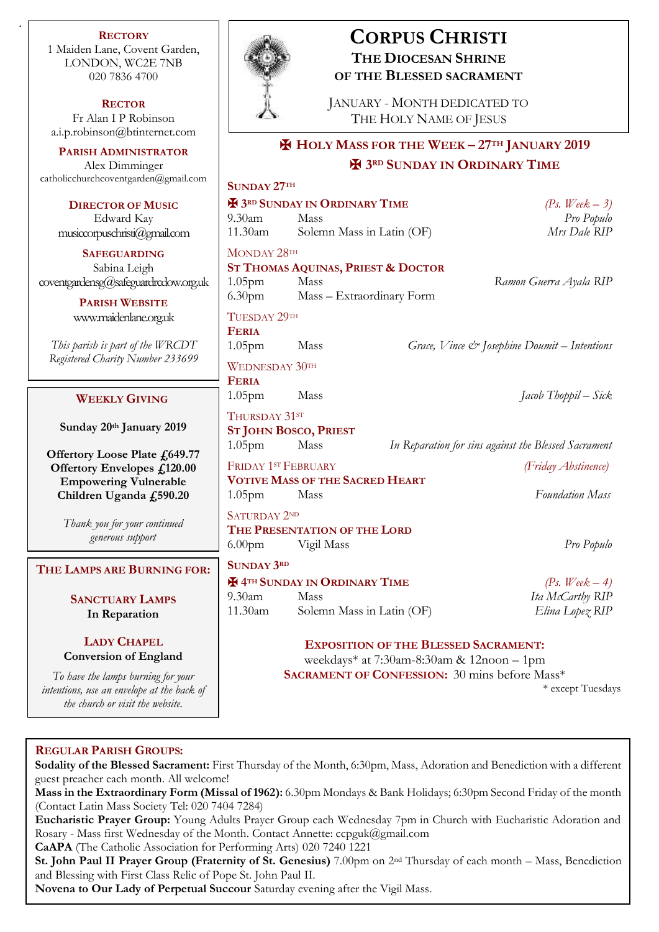**RECTORY** 1 Maiden Lane, Covent Garden, LONDON, WC2E 7NB 020 7836 4700

.

**RECTOR** Fr Alan I P Robinson [a.i.p.robinson@btinternet.com](mailto:a.i.p.robinson@btinternet.com)

**PARISH ADMINISTRATOR** Alex Dimminger catholicchurchcoventgarden@gmail.

**DIRECTOR OF MUSIC** Edward Kay  $musicopuschristi(Qgmal.$ compuschristi $(Qgmal.$ compuschristi $(Qgmal.$ compuschristia $(Qgmal.$ 

**SAFEGUARDING** Sabina Leigh  $covering and ensg@safeguardredov$ 

> **PARISH WEBSITE** [www.maidenlane.org.uk](http://www.maidenlane.org.uk/)

*This parish is part of the WRC Registered Charity Number 23* 

## **WEEKLY GIVING**

**Sunday 20<sup>th</sup> January 20** 

**Offertory Loose Plate £64 Offertory Envelopes £12 Empowering Vulnerab** Children Uganda £590.

> *Thank you for your continue generous support*

## $$

# **SANCTUARY LAMPS In Reparation**

## **LADY CHAPEL Conversion of Englan**

*To have the lamps burning for intentions, use an envelope at the back of the church or visit the website.*



# **CORPUS CHRISTI THE DIOCESAN SHRINE OF THE BLESSED SACRAMENT**

JANUARY - MONTH DEDICATED TO THE HOLY NAME OF JESUS

# ✠ **HOLY MASS FOR THE WEEK – 27TH JANUARY 2019** ✠ **3RD SUNDAY IN ORDINARY TIME**

| ган.соні           | <b>SUNDAY 27TH</b>                                   |                                  |  |                                                          |
|--------------------|------------------------------------------------------|----------------------------------|--|----------------------------------------------------------|
|                    | <b>H</b> 3RD SUNDAY IN ORDINARY TIME                 |                                  |  | (Ps. Week $-3$ )                                         |
|                    | $9.30$ am                                            | Mass                             |  | Pro Populo                                               |
| om                 | 11.30am                                              | Solemn Mass in Latin (OF)        |  | Mrs Dale RIP                                             |
|                    | MONDAY 28TH                                          |                                  |  |                                                          |
|                    | ST THOMAS AQUINAS, PRIEST & DOCTOR                   |                                  |  |                                                          |
| v.org.uk           | 1.05 <sub>pm</sub>                                   | Mass                             |  | Ramon Guerra Ayala RIP                                   |
|                    |                                                      | 6.30pm Mass - Extraordinary Form |  |                                                          |
|                    | TUESDAY 29TH                                         |                                  |  |                                                          |
|                    | <b>FERIA</b>                                         |                                  |  |                                                          |
| $\mathcal{C}\!D T$ | 1.05 <sub>pm</sub>                                   | Mass                             |  | Grace, Vince $\mathcal{Q}$ Josephine Doumit – Intentions |
| 3699               | WEDNESDAY 30TH                                       |                                  |  |                                                          |
|                    | <b>FERIA</b>                                         |                                  |  |                                                          |
|                    | 1.05 <sub>pm</sub>                                   | Mass                             |  | Jacob Thoppil – Sick                                     |
| 19                 | THURSDAY 31ST                                        |                                  |  |                                                          |
|                    | <b>ST JOHN BOSCO, PRIEST</b>                         |                                  |  |                                                          |
| 49.77              | 1.05 <sub>pm</sub>                                   | Mass                             |  | In Reparation for sins against the Blessed Sacrament     |
| 0.00               | <b>FRIDAY 1ST FEBRUARY</b>                           |                                  |  | (Friday Abstinence)                                      |
| ١le                | <b>VOTIVE MASS OF THE SACRED HEART</b>               |                                  |  |                                                          |
| .20                | 1.05 <sub>pm</sub>                                   | Mass                             |  | <b>Foundation Mass</b>                                   |
| ed                 | <b>SATURDAY 2ND</b>                                  |                                  |  |                                                          |
|                    | THE PRESENTATION OF THE LORD                         |                                  |  |                                                          |
|                    |                                                      | 6.00pm Vigil Mass                |  | Pro Populo                                               |
| <b>GFOR:</b>       | <b>SUNDAY 3RD</b>                                    |                                  |  |                                                          |
|                    | <b>H</b> 4TH SUNDAY IN ORDINARY TIME                 |                                  |  | (Ps. Week $-4$ )                                         |
|                    | 9.30 <sub>am</sub>                                   | Mass                             |  | Ita McCarthy RIP                                         |
|                    | 11.30am                                              | Solemn Mass in Latin (OF)        |  | Elina Lopez RIP                                          |
|                    |                                                      |                                  |  |                                                          |
| d                  | <b>EXPOSITION OF THE BLESSED SACRAMENT:</b>          |                                  |  |                                                          |
|                    | weekdays* at 7:30am-8:30am & 12noon - 1pm            |                                  |  |                                                          |
| your               | <b>SACRAMENT OF CONFESSION:</b> 30 mins before Mass* |                                  |  |                                                          |

\* except Tuesdays

## **REGULAR PARISH GROUPS:**

**Sodality of the Blessed Sacrament:** First Thursday of the Month, 6:30pm, Mass, Adoration and Benediction with a different guest preacher each month. All welcome!

**Mass in the Extraordinary Form (Missal of 1962):** 6.30pm Mondays & Bank Holidays; 6:30pm Second Friday of the month (Contact Latin Mass Society Tel: 020 7404 7284)

**Eucharistic Prayer Group:** Young Adults Prayer Group each Wednesday 7pm in Church with Eucharistic Adoration and Rosary - Mass first Wednesday of the Month. Contact Annette: ccpguk@gmail.com

**CaAPA** (The Catholic Association for Performing Arts) 020 7240 1221

**St. John Paul II Prayer Group (Fraternity of St. Genesius)** 7.00pm on 2nd Thursday of each month – Mass, Benediction and Blessing with First Class Relic of Pope St. John Paul II.

**Novena to Our Lady of Perpetual Succour** Saturday evening after the Vigil Mass.